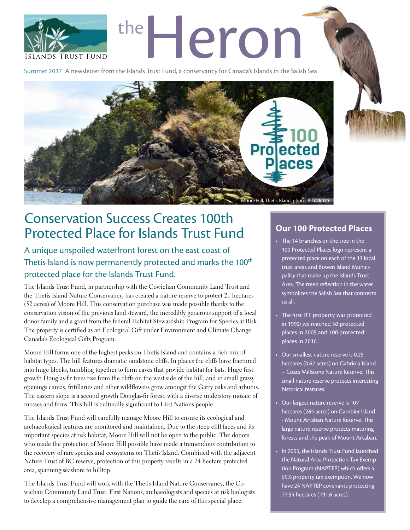

Summer 2017 A newsletter from the Islands Trust Fund, a conservancy for Canada's Islands in the Salish Sea



# Conservation Success Creates 100th Protected Place for Islands Trust Fund **Our 100 Protected Places**

A unique unspoiled waterfront forest on the east coast of Thetis Island is now permanently protected and marks the 100<sup>th</sup> protected place for the Islands Trust Fund.

The Islands Trust Fund, in partnership with the Cowichan Community Land Trust and the Thetis Island Nature Conservancy, has created a nature reserve to protect 21 hectares (52 acres) of Moore Hill. This conservation purchase was made possible thanks to the conservation vision of the previous land steward, the incredibly generous support of a local donor family and a grant from the federal Habitat Stewardship Program for Species at Risk. The property is certified as an Ecological Gift under Environment and Climate Change Canada's Ecological Gifts Program.

Moore Hill forms one of the highest peaks on Thetis Island and contains a rich mix of habitat types. The hill features dramatic sandstone cliffs. In places the cliffs have fractured into huge blocks, tumbling together to form caves that provide habitat for bats. Huge first growth Douglas-fir trees rise from the cliffs on the west side of the hill, and in small grassy openings camas, fritillaries and other wildflowers grow amongst the Garry oaks and arbutus. The eastern slope is a second growth Douglas-fir forest, with a diverse understory mosaic of mosses and ferns. This hill is culturally significant to First Nations people.

The Islands Trust Fund will carefully manage Moore Hill to ensure its ecological and archaeological features are monitored and maintained. Due to the steep cliff faces and its important species at risk habitat, Moore Hill will not be open to the public. The donors who made the protection of Moore Hill possible have made a tremendous contribution to the recovery of rare species and ecosystems on Thetis Island. Combined with the adjacent Nature Trust of BC reserve, protection of this property results in a 24 hectare protected area, spanning seashore to hilltop.

The Islands Trust Fund will work with the Thetis Island Nature Conservancy, the Cowichan Community Land Trust, First Nations, archaeologists and species at risk biologists to develop a comprehensive management plan to guide the care of this special place.

- The 14 branches on the tree in the 100 Protected Places logo represent a protected place on each of the 13 local trust areas and Bowen Island Municipality that make up the Islands Trust Area. The tree's reflection in the water symbolizes the Salish Sea that connects us all.
- The first ITF property was protected in 1992; we reached 50 protected places in 2005 and 100 protected places in 2016.
- Our smallest nature reserve is 0.25 hectares (0.62 acres) on Gabriola Island – Coats Millstone Nature Reserve. This small nature reserve protects interesting historical features.
- Our largest nature reserve is 107 hectares (264 acres) on Gambier Island - Mount Artaban Nature Reserve. This large nature reserve protects maturing forests and the peak of Mount Artaban.
- In 2005, the Islands Trust Fund launched the Natural Area Protection Tax Exemption Program (NAPTEP) which offers a 65% property tax exemption. We now have 24 NAPTEP covenants protecting 77.54 hectares (191.6 acres).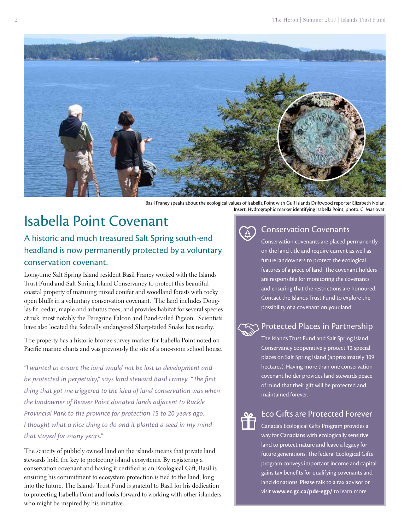

Basil Franey speaks about the ecological values of Isabella Point with Gulf Islands Driftwood reporter Elizabeth Nolan. Insert: Hydrographic marker identifying Isabella Point, photo: C. Maslovat.

# Isabella Point Covenant

### A historic and much treasured Salt Spring south-end headland is now permanently protected by a voluntary conservation covenant.

Long-time Salt Spring Island resident Basil Franey worked with the Islands Trust Fund and Salt Spring Island Conservancy to protect this beautiful coastal property of maturing mixed conifer and woodland forests with rocky open bluffs in a voluntary conservation covenant. The land includes Douglas-fir, cedar, maple and arbutus trees, and provides habitat for several species at risk, most notably the Peregrine Falcon and Band-tailed Pigeon. Scientists have also located the federally endangered Sharp-tailed Snake has nearby.

The property has a historic bronze survey marker for Isabella Point noted on Pacific marine charts and was previously the site of a one-room school house.

*"I wanted to ensure the land would not be lost to development and be protected in perpetuity," says land steward Basil Franey. "The first thing that got me triggered to the idea of land conservation was when the landowner of Beaver Point donated lands adjacent to Ruckle Provincial Park to the province for protection 15 to 20 years ago. I thought what a nice thing to do and it planted a seed in my mind that stayed for many years."* 

The scarcity of publicly owned land on the islands means that private land stewards hold the key to protecting island ecosystems. By registering a conservation covenant and having it certified as an Ecological Gift, Basil is ensuring his commitment to ecosystem protection is tied to the land, long into the future. The Islands Trust Fund is grateful to Basil for his dedication to protecting Isabella Point and looks forward to working with other islanders who might be inspired by his initiative.

### Conservation Covenants

Conservation covenants are placed permanently on the land title and require current as well as future landowners to protect the ecological features of a piece of land. The covenant holders are responsible for monitoring the covenants and ensuring that the restrictions are honoured. Contact the Islands Trust Fund to explore the possibility of a covenant on your land.

#### Protected Places in Partnership

The Islands Trust Fund and Salt Spring Island Conservancy cooperatively protect 12 special places on Salt Spring Island (approximately 109 hectares). Having more than one conservation covenant holder provides land stewards peace of mind that their gift will be protected and maintained forever.

### Eco Gifts are Protected Forever

Canada's Ecological Gifts Program provides a way for Canadians with ecologically sensitive land to protect nature and leave a legacy for future generations. The federal Ecological Gifts program conveys important income and capital gains tax benefits for qualifying covenants and land donations. Please talk to a tax advisor or visit **[www.ec.gc.ca/pde-egp/](http://www.ec.gc.ca/pde-egp/)** to learn more.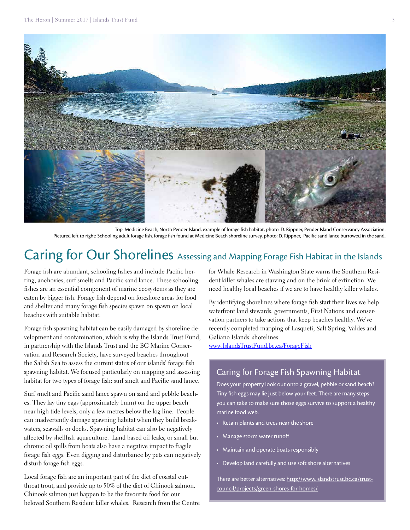

Top: Medicine Beach, North Pender Island, example of forage fish habitat, photo: D. Rippner, Pender Island Conservancy Association. Pictured left to right: Schooling adult forage fish, forage fish found at Medicine Beach shoreline survey, photo: D. Rippner, Pacific sand lance burrowed in the sand.

### Caring for Our Shorelines Assessing and Mapping Forage Fish Habitat in the Islands

Forage fish are abundant, schooling fishes and include Pacific herring, anchovies, surf smelts and Pacific sand lance. These schooling fishes are an essential component of marine ecosystems as they are eaten by bigger fish. Forage fish depend on foreshore areas for food and shelter and many forage fish species spawn on spawn on local beaches with suitable habitat.

Forage fish spawning habitat can be easily damaged by shoreline development and contamination, which is why the Islands Trust Fund, in partnership with the Islands Trust and the BC Marine Conservation and Research Society, have surveyed beaches throughout the Salish Sea to assess the current status of our islands' forage fish spawning habitat. We focused particularly on mapping and assessing habitat for two types of forage fish: surf smelt and Pacific sand lance.

Surf smelt and Pacific sand lance spawn on sand and pebble beaches. They lay tiny eggs (approximately 1mm) on the upper beach near high tide levels, only a few metres below the log line. People can inadvertently damage spawning habitat when they build breakwaters, seawalls or docks. Spawning habitat can also be negatively affected by shellfish aquaculture. Land based oil leaks, or small but chronic oil spills from boats also have a negative impact to fragile forage fish eggs. Even digging and disturbance by pets can negatively disturb forage fish eggs.

Local forage fish are an important part of the diet of coastal cutthroat trout, and provide up to 50% of the diet of Chinook salmon. Chinook salmon just happen to be the favourite food for our beloved Southern Resident killer whales. Research from the Centre for Whale Research in Washington State warns the Southern Resident killer whales are starving and on the brink of extinction. We need healthy local beaches if we are to have healthy killer whales.

By identifying shorelines where forage fish start their lives we help waterfront land stewards, governments, First Nations and conservation partners to take actions that keep beaches healthy. We've recently completed mapping of Lasqueti, Salt Spring, Valdes and Galiano Islands' shorelines:

www.IslandsTrustFund.bc.ca/ForageFish

#### Caring for Forage Fish Spawning Habitat

Does your property look out onto a gravel, pebble or sand beach? Tiny fish eggs may lie just below your feet. There are many steps you can take to make sure those eggs survive to support a healthy marine food web.

- Retain plants and trees near the shore
- Manage storm water runoff
- • Maintain and operate boats responsibly
- Develop land carefully and use soft shore alternatives

There are better alternatives: http://www.islandstrust.bc.ca/trustcouncil/projects/green-shores-for-homes/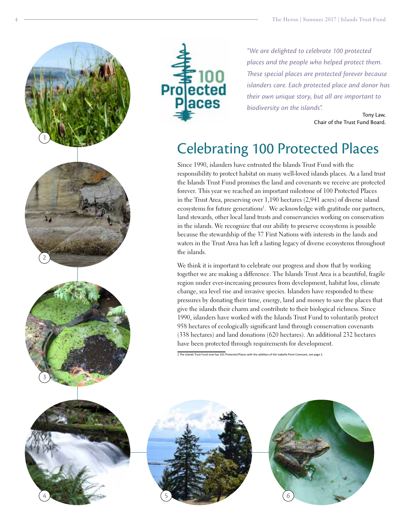



*"We are delighted to celebrate 100 protected places and the people who helped protect them. These special places are protected forever because islanders care. Each protected place and donor has their own unique story, but all are important to biodiversity on the islands".* 

> Tony Law, Chair of the Trust Fund Board.

# Celebrating 100 Protected Places

Since 1990, islanders have entrusted the Islands Trust Fund with the responsibility to protect habitat on many well-loved islands places. As a land trust the Islands Trust Fund promises the land and covenants we receive are protected forever. This year we reached an important milestone of 100 Protected Places in the Trust Area, preserving over 1,190 hectares (2,941 acres) of diverse island ecosystems for future generations<sup>1</sup>. We acknowledge with gratitude our partners, land stewards, other local land trusts and conservancies working on conservation in the islands. We recognize that our ability to preserve ecosystems is possible because the stewardship of the 37 First Nations with interests in the lands and waters in the Trust Area has left a lasting legacy of diverse ecosystems throughout the islands.

We think it is important to celebrate our progress and show that by working together we are making a difference. The Islands Trust Area is a beautiful, fragile region under ever-increasing pressures from development, habitat loss, climate change, sea level rise and invasive species. Islanders have responded to these pressures by donating their time, energy, land and money to save the places that give the islands their charm and contribute to their biological richness. Since 1990, islanders have worked with the Islands Trust Fund to voluntarily protect 958 hectares of ecologically significant land through conservation covenants (338 hectares) and land donations (620 hectares). An additional 232 hectares have been protected through requirements for development.

1 The Islands Trust Fund now has 101 Protected Places with the addition of the Isabella Point Covenant, see page 2.



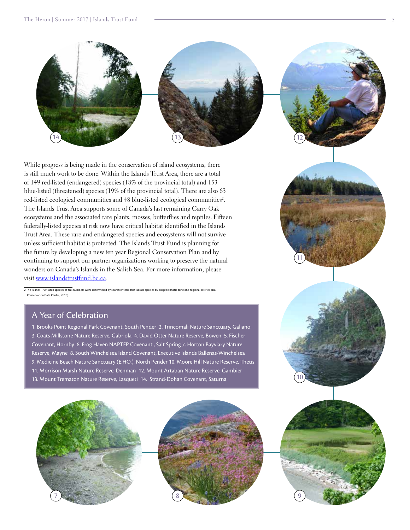

While progress is being made in the conservation of island ecosystems, there is still much work to be done. Within the Islands Trust Area, there are a total of 149 red-listed (endangered) species (18% of the provincial total) and 153 blue-listed (threatened) species (19% of the provincial total). There are also 63 red-listed ecological communities and 48 blue-listed ecological communities<sup>2</sup>. The Islands Trust Area supports some of Canada's last remaining Garry Oak ecosystems and the associated rare plants, mosses, butterflies and reptiles. Fifteen federally-listed species at risk now have critical habitat identified in the Islands Trust Area. These rare and endangered species and ecosystems will not survive unless sufficient habitat is protected. The Islands Trust Fund is planning for the future by developing a new ten year Regional Conservation Plan and by continuing to support our partner organizations working to preserve the natural wonders on Canada's Islands in the Salish Sea. For more information, please visit [www.islandstrustfund.bc.ca](http://www.islandstrustfund.bc.ca).

2 The Islands Trust Area species at risk numbers were determined by search criteria that isolate species by biogeoclimatic zone and regional district. (BC ation Data Centre, 2016)

#### A Year of Celebration

1. Brooks Point Regional Park Covenant, South Pender 2. Trincomali Nature Sanctuary, Galiano 3. Coats Millstone Nature Reserve, Gabriola 4. David Otter Nature Reserve, Bowen 5. Fischer Covenant, Hornby 6. Frog Haven NAPTEP Covenant , Salt Spring 7. Horton Bayviary Nature Reserve, Mayne 8. South Winchelsea Island Covenant, Executive Islands Ballenas-Winchelsea 9. Medicine Beach Nature Sanctuary (E,HO,), North Pender 10. Moore Hill Nature Reserve, Thetis 11. Morrison Marsh Nature Reserve, Denman 12. Mount Artaban Nature Reserve, Gambier 13. Mount Trematon Nature Reserve, Lasqueti 14. Strand-Dohan Covenant, Saturna











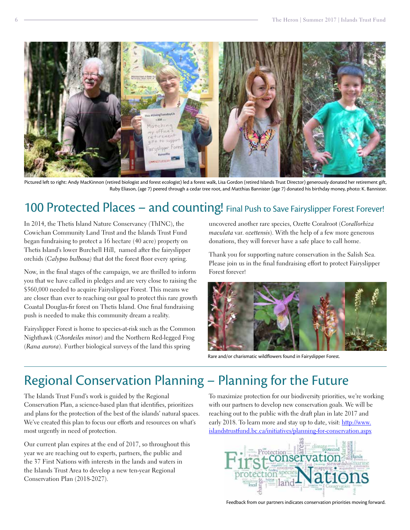

Pictured left to right: Andy MacKinnon (retired biologist and forest ecologist) led a forest walk, Lisa Gordon (retired Islands Trust Director) generously donated her retirement gift, Ruby Eliason, (age 7) peered through a cedar tree root, and Matthias Bannister (age 7) donated his birthday money, photo: K. Bannister.

# 100 Protected Places - and counting! Final Push to Save Fairyslipper Forest Forever!

In 2014, the Thetis Island Nature Conservancy (ThINC), the Cowichan Community Land Trust and the Islands Trust Fund began fundraising to protect a 16 hectare (40 acre) property on Thetis Island's lower Burchell Hill, named after the fairyslipper orchids (*Calypso bulbosa)* that dot the forest floor every spring.

Now, in the final stages of the campaign, we are thrilled to inform you that we have called in pledges and are very close to raising the \$560,000 needed to acquire Fairyslipper Forest. This means we are closer than ever to reaching our goal to protect this rare growth Coastal Douglas-fir forest on Thetis Island. One final fundraising push is needed to make this community dream a reality.

Fairyslipper Forest is home to species-at-risk such as the Common Nighthawk (*Chordeiles minor*) and the Northern Red-legged Frog (*Rana aurora*). Further biological surveys of the land this spring

uncovered another rare species, Ozette Coralroot (*Corallorhiza maculata* var. *ozettensis*). With the help of a few more generous donations, they will forever have a safe place to call home.

Thank you for supporting nature conservation in the Salish Sea. Please join us in the final fundraising effort to protect Fairyslipper Forest forever!



Rare and/or charismatic wildflowers found in Fairyslipper Forest.

### Regional Conservation Planning – Planning for the Future

The Islands Trust Fund's work is guided by the Regional Conservation Plan, a science-based plan that identifies, prioritizes and plans for the protection of the best of the islands' natural spaces. We've created this plan to focus our efforts and resources on what's most urgently in need of protection.

Our current plan expires at the end of 2017, so throughout this year we are reaching out to experts, partners, the public and the 37 First Nations with interests in the lands and waters in the Islands Trust Area to develop a new ten-year Regional Conservation Plan (2018-2027).

To maximize protection for our biodiversity priorities, we're working with our partners to develop new conservation goals. We will be reaching out to the public with the draft plan in late 2017 and early 2018. To learn more and stay up to date, visit: [http://www.](http://www.islandstrustfund.bc.ca/initiatives/planning-for-conservation.aspx) [islandstrustfund.bc.ca/initiatives/planning-for-conservation.aspx](http://www.islandstrustfund.bc.ca/initiatives/planning-for-conservation.aspx)



Feedback from our partners indicates conservation priorities moving forward.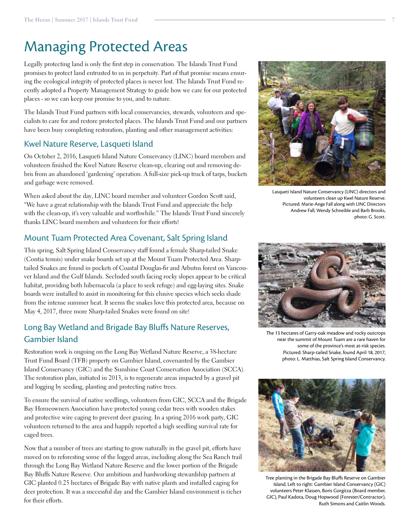## Managing Protected Areas

Legally protecting land is only the first step in conservation. The Islands Trust Fund promises to protect land entrusted to us in perpetuity. Part of that promise means ensuring the ecological integrity of protected places is never lost. The Islands Trust Fund recently adopted a Property Management Strategy to guide how we care for our protected places - so we can keep our promise to you, and to nature.

The Islands Trust Fund partners with local conservancies, stewards, volunteers and specialists to care for and restore protected places. The Islands Trust Fund and our partners have been busy completing restoration, planting and other management activities:

#### Kwel Nature Reserve, Lasqueti Island

On October 2, 2016, Lasqueti Island Nature Conservancy (LINC) board members and volunteers finished the Kwel Nature Reserve clean-up, clearing out and removing debris from an abandoned 'gardening' operation. A full-size pick-up truck of tarps, buckets and garbage were removed.

When asked about the day, LINC board member and volunteer Gordon Scott said, "We have a great relationship with the Islands Trust Fund and appreciate the help with the clean-up, it's very valuable and worthwhile." The Islands Trust Fund sincerely thanks LINC board members and volunteers for their efforts!

#### Mount Tuam Protected Area Covenant, Salt Spring Island

This spring, Salt Spring Island Conservancy staff found a female Sharp-tailed Snake (Contia tenuis) under snake boards set up at the Mount Tuam Protected Area. Sharptailed Snakes are found in pockets of Coastal Douglas-fir and Arbutus forest on Vancouver Island and the Gulf Islands. Secluded south facing rocky slopes appear to be critical habitat, providing both hibernacula (a place to seek refuge) and egg-laying sites. Snake boards were installed to assist in monitoring for this elusive species which seeks shade from the intense summer heat. It seems the snakes love this protected area, because on May 4, 2017, three more Sharp-tailed Snakes were found on site!

### Long Bay Wetland and Brigade Bay Bluffs Nature Reserves, Gambier Island

Restoration work is ongoing on the Long Bay Wetland Nature Reserve, a 38-hectare Trust Fund Board (TFB) property on Gambier Island, covenanted by the Gambier Island Conservancy (GIC) and the Sunshine Coast Conservation Association (SCCA). The restoration plan, initiated in 2013, is to regenerate areas impacted by a gravel pit and logging by seeding, planting and protecting native trees.

To ensure the survival of native seedlings, volunteers from GIC, SCCA and the Brigade Bay Homeowners Association have protected young cedar trees with wooden stakes and protective wire caging to prevent deer grazing. In a spring 2016 work party, GIC volunteers returned to the area and happily reported a high seedling survival rate for caged trees.

Now that a number of trees are starting to grow naturally in the gravel pit, efforts have moved on to reforesting some of the logged areas, including along the Sea Ranch trail through the Long Bay Wetland Nature Reserve and the lower portion of the Brigade Bay Bluffs Nature Reserve. Our ambitious and hardworking stewardship partners at GIC planted 0.25 hectares of Brigade Bay with native plants and installed caging for deer protection. It was a successful day and the Gambier Island environment is richer for their efforts.

Lasqueti Island Nature Conservancy (LINC) directors and

volunteers clean up Kwel Nature Reserve. Pictured: Marie-Ange Fall along with LINC Directors Andrew Fall, Wendy Schneible and Barb Brooks, photo: G. Scott.



some of the province's most at-risk species. Pictured: Sharp-tailed Snake, found April 18, 2017, photo: L. Matthias, Salt Spring Island Conservancy.



Tree planting in the Brigade Bay Bluffs Reserve on Gambier Island. Left to right: Gambier Island Conservancy (GIC) volunteers Peter Klassen, Boris Gorgitza (Board member, GIC), Paul Kadota, Doug Hopwood (Forester/Contractor), Ruth Simons and Caitlin Woods.